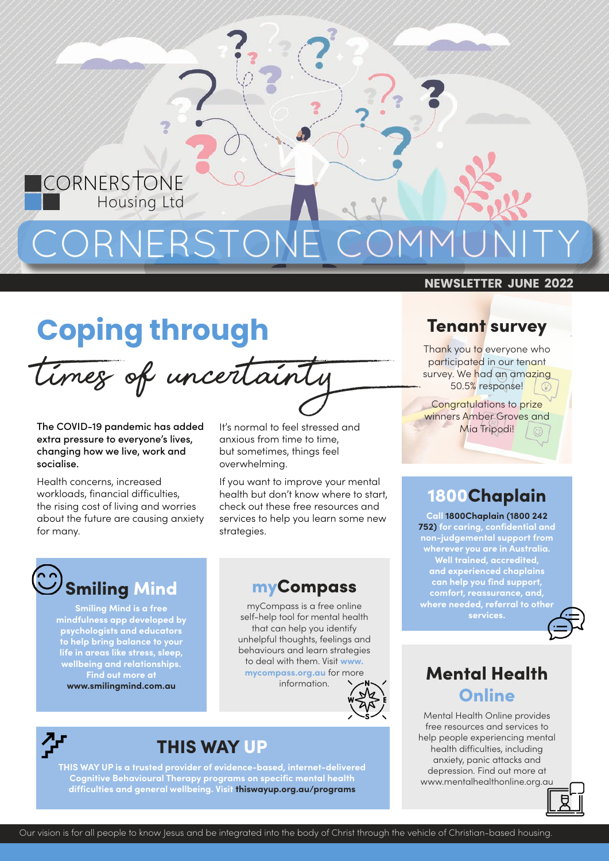

## **Coping through**

times of uncertainty

The COVID-19 pandemic has added extra pressure to everyone's lives, changing how we live, work and socialise.

<u>C</u>ORNERSTONE

Health concerns, increased workloads, financial difficulties, the rising cost of living and worries about the future are causing anxiety for many.

It's normal to feel stressed and anxious from time to time, but sometimes, things feel overwhelming.

If you want to improve your mental health but don't know where to start, check out these free resources and services to help you learn some new strategies.



**Smiling Mind is a free mindfulness app developed by psychologists and educators to help bring balance to your life in areas like stress, sleep, wellbeing and relationships. Find out more at www.smilingmind.com.au**

## myCompass

myCompass is a free online self-help tool for mental health that can help you identify unhelpful thoughts, feelings and behaviours and learn strategies to deal with them. Visit **www. mycompass.org.au** for more





## THIS WAY UP

**THIS WAY UP is a trusted provider of evidence-based, internet-delivered Cognitive Behavioural Therapy programs on specific mental health difficulties and general wellbeing. Visit thiswayup.org.au/programs**

#### **NEWSLETTER JUNE 2022**

### **Tenant survey**

Thank you to everyone who participated in our tenant survey. We had an amazing 50.5% response!

Congratulations to prize winners Amber Groves and Mia Tripodi!

## 1800Chaplain

**Call 1800Chaplain (1800 242 752) for caring, confidential and non-judgemental support from wherever you are in Australia. Well trained, accredited, and experienced chaplains can help you find support, comfort, reassurance, and, where needed, referral to other services.**



## **pass.org.au** for more **Mental Health Online**

Mental Health Online provides free resources and services to help people experiencing mental health difficulties, including anxiety, panic attacks and depression. Find out more at www.mentalhealthonline.org.au

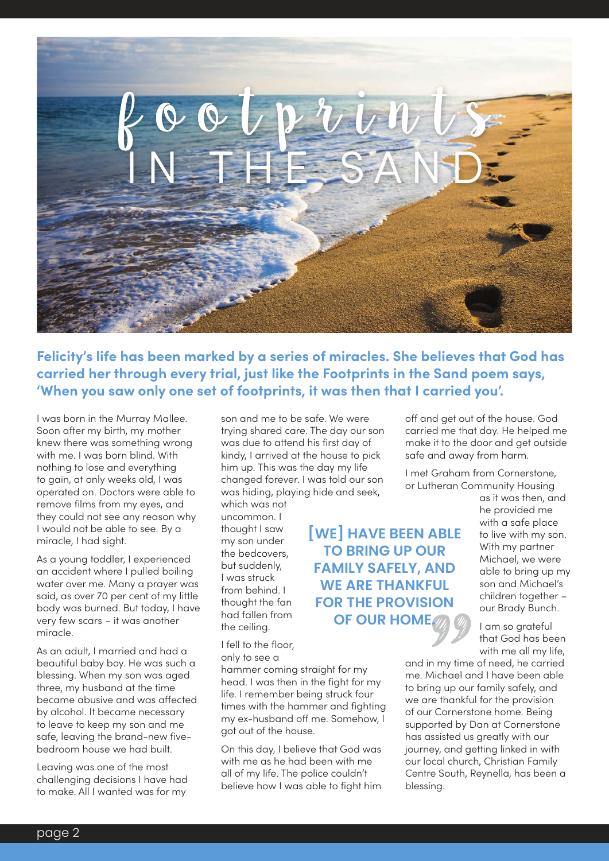

**Felicity's life has been marked by a series of miracles. She believes that God has carried her through every trial, just like the Footprints in the Sand poem says, 'When you saw only one set of footprints, it was then that I carried you'.**

I was born in the Murray Mallee. Soon after my birth, my mother knew there was something wrong with me. I was born blind. With nothing to lose and everything to gain, at only weeks old, I was operated on. Doctors were able to remove films from my eyes, and they could not see any reason why I would not be able to see. By a miracle, I had sight.

As a young toddler, I experienced an accident where I pulled boiling water over me. Many a prayer was said, as over 70 per cent of my little body was burned. But today, I have very few scars – it was another miracle.

As an adult, I married and had a beautiful baby boy. He was such a blessing. When my son was aged three, my husband at the time became abusive and was affected by alcohol. It became necessary to leave to keep my son and me safe, leaving the brand-new fivebedroom house we had built.

Leaving was one of the most challenging decisions I have had to make. All I wanted was for my

son and me to be safe. We were trying shared care. The day our son was due to attend his first day of kindy, I arrived at the house to pick him up. This was the day my life changed forever. I was told our son was hiding, playing hide and seek, which was not

uncommon. I thought I saw my son under the bedcovers, but suddenly, I was struck from behind. I thought the fan had fallen from the ceiling.

I fell to the floor, only to see a

hammer coming straight for my head. I was then in the fight for my life. I remember being struck four times with the hammer and fighting my ex-husband off me. Somehow, I got out of the house.

On this day, I believe that God was with me as he had been with me all of my life. The police couldn't believe how I was able to fight him

off and get out of the house. God carried me that day. He helped me make it to the door and get outside safe and away from harm.

I met Graham from Cornerstone, or Lutheran Community Housing

> as it was then, and he provided me with a safe place to live with my son. With my partner Michael, we were able to bring up my son and Michael's children together – our Brady Bunch.

I am so grateful that God has been with me all my life,

and in my time of need, he carried me. Michael and I have been able to bring up our family safely, and we are thankful for the provision of our Cornerstone home. Being supported by Dan at Cornerstone has assisted us greatly with our journey, and getting linked in with our local church, Christian Family Centre South, Reynella, has been a blessing.

**[WE] HAVE BEEN ABLE TO BRING UP OUR FAMILY SAFELY, AND WE ARE THANKFUL FOR THE PROVISION OF OUR HOME.**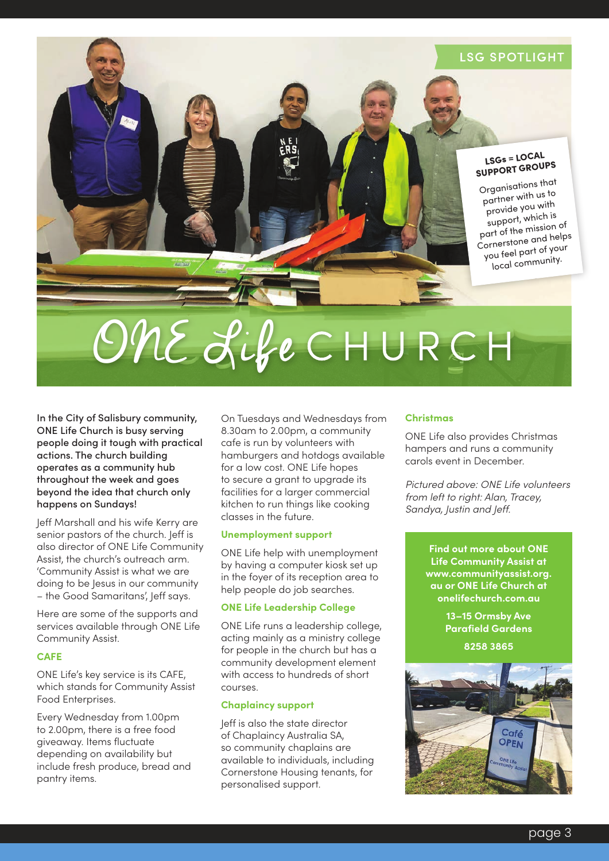#### LSG SPOTLIGHT

#### LSGs = LOCAL SUPPORT GROUPS

Organisations that partner with us to provide you with support, which is part of the mission of Cornerstone and helps you feel part of your local community.

# ONE Life CHURCH

In the City of Salisbury community, ONE Life Church is busy serving people doing it tough with practical actions. The church building operates as a community hub throughout the week and goes beyond the idea that church only happens on Sundays!

Jeff Marshall and his wife Kerry are senior pastors of the church. Jeff is also director of ONE Life Community Assist, the church's outreach arm. 'Community Assist is what we are doing to be Jesus in our community – the Good Samaritans', Jeff says.

Here are some of the supports and services available through ONE Life Community Assist.

#### **CAFE**

ONE Life's key service is its CAFE, which stands for Community Assist Food Enterprises.

Every Wednesday from 1.00pm to 2.00pm, there is a free food giveaway. Items fluctuate depending on availability but include fresh produce, bread and pantry items.

On Tuesdays and Wednesdays from 8.30am to 2.00pm, a community cafe is run by volunteers with hamburgers and hotdogs available for a low cost. ONE Life hopes to secure a grant to upgrade its facilities for a larger commercial kitchen to run things like cooking classes in the future.

#### **Unemployment support**

ONE Life help with unemployment by having a computer kiosk set up in the foyer of its reception area to help people do job searches.

#### **ONE Life Leadership College**

ONE Life runs a leadership college, acting mainly as a ministry college for people in the church but has a community development element with access to hundreds of short courses.

#### **Chaplaincy support**

Jeff is also the state director of Chaplaincy Australia SA, so community chaplains are available to individuals, including Cornerstone Housing tenants, for personalised support.

#### **Christmas**

ONE Life also provides Christmas hampers and runs a community carols event in December.

*Pictured above: ONE Life volunteers from left to right: Alan, Tracey, Sandya, Justin and Jeff.*

> **Find out more about ONE Life Community Assist at www.communityassist.org. au or ONE Life Church at onelifechurch.com.au**

> > **13–15 Ormsby Ave Parafield Gardens**

> > > **8258 3865**